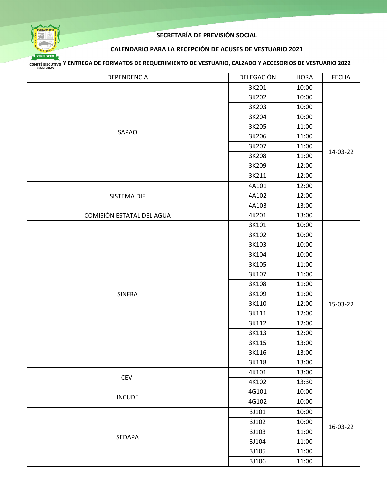

#### **CALENDARIO PARA LA RECEPCIÓN DE ACUSES DE VESTUARIO 2021**

| DEPENDENCIA               | DELEGACIÓN | <b>HORA</b> | <b>FECHA</b> |
|---------------------------|------------|-------------|--------------|
| SAPAO                     | 3K201      | 10:00       | 14-03-22     |
|                           | 3K202      | 10:00       |              |
|                           | 3K203      | 10:00       |              |
|                           | 3K204      | 10:00       |              |
|                           | 3K205      | 11:00       |              |
|                           | 3K206      | 11:00       |              |
|                           | 3K207      | 11:00       |              |
|                           | 3K208      | 11:00       |              |
|                           | 3K209      | 12:00       |              |
|                           | 3K211      | 12:00       |              |
|                           | 4A101      | 12:00       |              |
| SISTEMA DIF               | 4A102      | 12:00       |              |
|                           | 4A103      | 13:00       |              |
| COMISIÓN ESTATAL DEL AGUA | 4K201      | 13:00       |              |
|                           | 3K101      | 10:00       |              |
|                           | 3K102      | 10:00       |              |
|                           | 3K103      | 10:00       |              |
|                           | 3K104      | 10:00       | 15-03-22     |
|                           | 3K105      | 11:00       |              |
|                           | 3K107      | 11:00       |              |
|                           | 3K108      | 11:00       |              |
| <b>SINFRA</b>             | 3K109      | 11:00       |              |
|                           | 3K110      | 12:00       |              |
|                           | 3K111      | 12:00       |              |
|                           | 3K112      | 12:00       |              |
|                           | 3K113      | 12:00       |              |
|                           | 3K115      | 13:00       |              |
|                           | 3K116      | 13:00       |              |
|                           | 3K118      | 13:00       |              |
|                           | 4K101      | 13:00       |              |
| <b>CEVI</b>               | 4K102      | 13:30       |              |
|                           | 4G101      | 10:00       |              |
| <b>INCUDE</b>             | 4G102      | 10:00       |              |
|                           | 3J101      | 10:00       | 16-03-22     |
| SEDAPA                    | 3J102      | 10:00       |              |
|                           | 3J103      | 11:00       |              |
|                           | 3J104      | 11:00       |              |
|                           | 3J105      | 11:00       |              |
|                           | 3J106      | 11:00       |              |
|                           |            |             |              |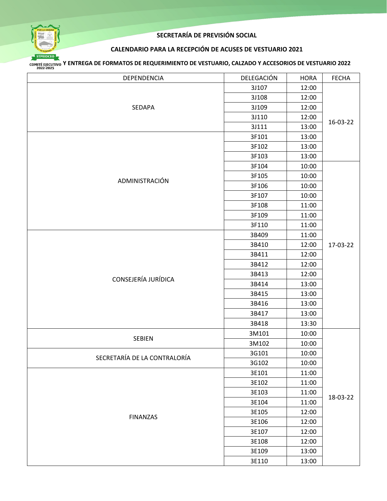

#### **CALENDARIO PARA LA RECEPCIÓN DE ACUSES DE VESTUARIO 2021**

| DEPENDENCIA                  | DELEGACIÓN | <b>HORA</b> | <b>FECHA</b> |
|------------------------------|------------|-------------|--------------|
| SEDAPA                       | 3J107      | 12:00       | 16-03-22     |
|                              | 3J108      | 12:00       |              |
|                              | 3J109      | 12:00       |              |
|                              | 3J110      | 12:00       |              |
|                              | 3J111      | 13:00       |              |
|                              | 3F101      | 13:00       |              |
|                              | 3F102      | 13:00       |              |
|                              | 3F103      | 13:00       |              |
|                              | 3F104      | 10:00       |              |
| ADMINISTRACIÓN               | 3F105      | 10:00       |              |
|                              | 3F106      | 10:00       |              |
|                              | 3F107      | 10:00       |              |
|                              | 3F108      | 11:00       |              |
|                              | 3F109      | 11:00       |              |
|                              | 3F110      | 11:00       |              |
|                              | 3B409      | 11:00       |              |
|                              | 3B410      | 12:00       | 17-03-22     |
|                              | 3B411      | 12:00       |              |
|                              | 3B412      | 12:00       |              |
|                              | 3B413      | 12:00       |              |
| CONSEJERÍA JURÍDICA          | 3B414      | 13:00       |              |
|                              | 3B415      | 13:00       |              |
|                              | 3B416      | 13:00       |              |
|                              | 3B417      | 13:00       |              |
|                              | 3B418      | 13:30       |              |
|                              | 3M101      | 10:00       |              |
| SEBIEN                       | 3M102      | 10:00       |              |
|                              | 3G101      | 10:00       |              |
| SECRETARÍA DE LA CONTRALORÍA | 3G102      | 10:00       | 18-03-22     |
|                              | 3E101      | 11:00       |              |
|                              | 3E102      | 11:00       |              |
| <b>FINANZAS</b>              | 3E103      | 11:00       |              |
|                              | 3E104      | 11:00       |              |
|                              | 3E105      | 12:00       |              |
|                              | 3E106      | 12:00       |              |
|                              | 3E107      | 12:00       |              |
|                              | 3E108      | 12:00       |              |
|                              | 3E109      | 13:00       |              |
|                              | 3E110      | 13:00       |              |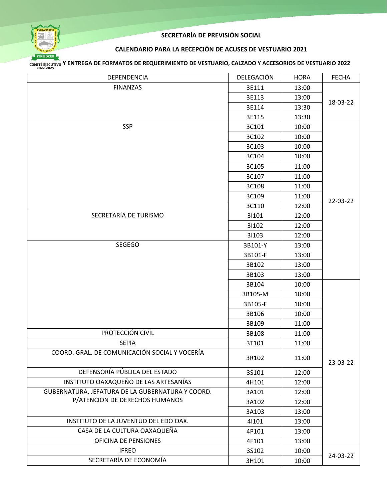

#### **CALENDARIO PARA LA RECEPCIÓN DE ACUSES DE VESTUARIO 2021**

| DEPENDENCIA                                      | DELEGACIÓN | <b>HORA</b> | <b>FECHA</b> |
|--------------------------------------------------|------------|-------------|--------------|
| <b>FINANZAS</b>                                  | 3E111      | 13:00       |              |
|                                                  | 3E113      | 13:00       |              |
|                                                  | 3E114      | 13:30       | 18-03-22     |
|                                                  | 3E115      | 13:30       |              |
| <b>SSP</b>                                       | 3C101      | 10:00       |              |
|                                                  | 3C102      | 10:00       |              |
|                                                  | 3C103      | 10:00       |              |
|                                                  | 3C104      | 10:00       |              |
|                                                  | 3C105      | 11:00       |              |
|                                                  | 3C107      | 11:00       |              |
|                                                  | 3C108      | 11:00       |              |
|                                                  | 3C109      | 11:00       |              |
|                                                  | 3C110      | 12:00       | 22-03-22     |
| SECRETARÍA DE TURISMO                            | 31101      | 12:00       |              |
|                                                  | 31102      | 12:00       |              |
|                                                  | 31103      | 12:00       |              |
| SEGEGO                                           | 3B101-Y    | 13:00       |              |
|                                                  | 3B101-F    | 13:00       |              |
|                                                  | 3B102      | 13:00       |              |
|                                                  | 3B103      | 13:00       |              |
|                                                  | 3B104      | 10:00       |              |
|                                                  | 3B105-M    | 10:00       |              |
|                                                  | 3B105-F    | 10:00       |              |
|                                                  | 3B106      | 10:00       |              |
|                                                  | 3B109      | 11:00       |              |
| PROTECCIÓN CIVIL                                 | 3B108      | 11:00       |              |
| <b>SEPIA</b>                                     | 3T101      | 11:00       | 23-03-22     |
| COORD. GRAL. DE COMUNICACIÓN SOCIAL Y VOCERÍA    | 3R102      | 11:00       |              |
| DEFENSORÍA PÚBLICA DEL ESTADO                    | 3S101      | 12:00       |              |
| INSTITUTO OAXAQUEÑO DE LAS ARTESANÍAS            | 4H101      | 12:00       |              |
| GUBERNATURA, JEFATURA DE LA GUBERNATURA Y COORD. | 3A101      | 12:00       |              |
| P/ATENCION DE DERECHOS HUMANOS                   | 3A102      | 12:00       |              |
|                                                  | 3A103      | 13:00       |              |
| INSTITUTO DE LA JUVENTUD DEL EDO OAX.            | 41101      | 13:00       |              |
| CASA DE LA CULTURA OAXAQUEÑA                     | 4P101      | 13:00       |              |
| OFICINA DE PENSIONES                             | 4F101      | 13:00       |              |
| <b>IFREO</b>                                     | 3S102      | 10:00       | 24-03-22     |
| SECRETARÍA DE ECONOMÍA                           | 3H101      | 10:00       |              |
|                                                  |            |             |              |